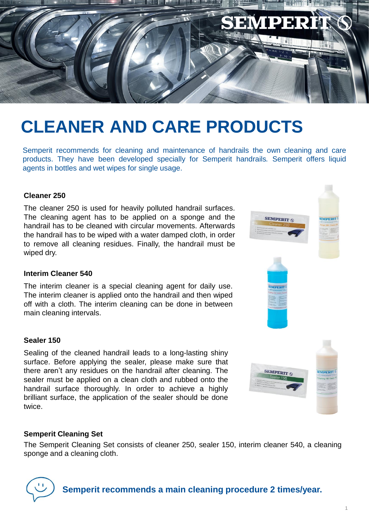

## **CLEANER AND CARE PRODUCTS**

Semperit recommends for cleaning and maintenance of handrails the own cleaning and care products. They have been developed specially for Semperit handrails*.* Semperit offers liquid agents in bottles and wet wipes for single usage.

### **Cleaner 250**

The cleaner 250 is used for heavily polluted handrail surfaces. The cleaning agent has to be applied on a sponge and the handrail has to be cleaned with circular movements. Afterwards the handrail has to be wiped with a water damped cloth, in order to remove all cleaning residues. Finally, the handrail must be wiped dry.

### **Interim Cleaner 540**

The interim cleaner is a special cleaning agent for daily use. The interim cleaner is applied onto the handrail and then wiped off with a cloth. The interim cleaning can be done in between main cleaning intervals.

### **Sealer 150**

Sealing of the cleaned handrail leads to a long-lasting shiny surface. Before applying the sealer, please make sure that there aren't any residues on the handrail after cleaning. The sealer must be applied on a clean cloth and rubbed onto the handrail surface thoroughly. In order to achieve a highly brilliant surface, the application of the sealer should be done twice.

# **SEMPERIT (**

**SEMPERIT 6** 

EMPERIT

### **Semperit Cleaning Set**

The Semperit Cleaning Set consists of cleaner 250, sealer 150, interim cleaner 540, a cleaning sponge and a cleaning cloth.



**Semperit recommends a main cleaning procedure 2 times/year.**